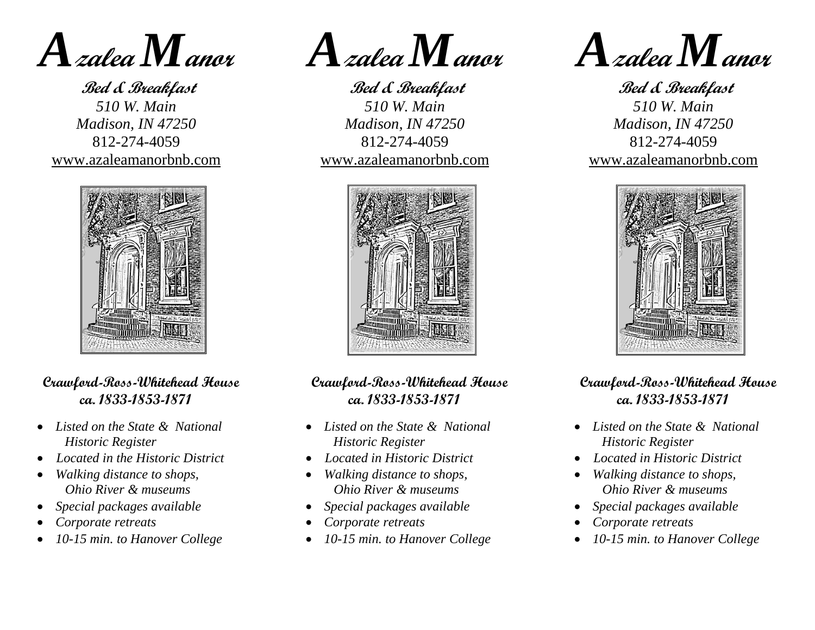

**Bed & Breakfast** *510 W. Main Madison, IN 47250* 812-274-4059 www.azaleamanorbnb.com



## **Crawford-Ross-Whitehead House ca. 1833-1853-1871**

- *Listed on the State & National Historic Register*
- • *Located in the Historic District*
- *Walking distance to shops, Ohio River & museums*
- *Special packages available*
- *Corporate retreats*
- *10-15 min. to Hanover College*

*A***zalea** *M***anor**

**Bed & Breakfast** *510 W. Main Madison, IN 47250* 812-274-4059 www.azaleamanorbnb.com



## **Crawford-Ross-Whitehead House ca. 1833-1853-1871**

- *Listed on the State & National Historic Register*
- • *Located in Historic District*
- *Walking distance to shops, Ohio River & museums*
- *Special packages available*
- *Corporate retreats*
- *10-15 min. to Hanover College*



**Bed & Breakfast** *510 W. Main Madison, IN 47250* 812-274-4059 www.azaleamanorbnb.com



## **Crawford-Ross-Whitehead House ca. 1833-1853-1871**

- *Listed on the State & National Historic Register*
- • *Located in Historic District*
- *Walking distance to shops, Ohio River & museums*
- *Special packages available*
- *Corporate retreats*
- *10-15 min. to Hanover College*